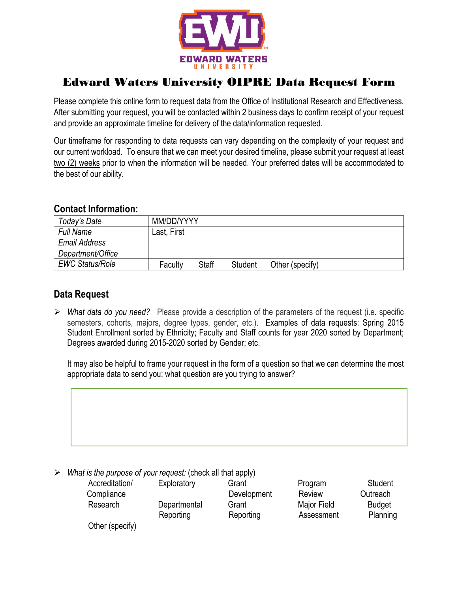

## Edward Waters University OIPRE Data Request Form

Please complete this online form to request data from the Office of Institutional Research and Effectiveness. After submitting your request, you will be contacted within 2 business days to confirm receipt of your request and provide an approximate timeline for delivery of the data/information requested.

Our timeframe for responding to data requests can vary depending on the complexity of your request and our current workload. To ensure that we can meet your desired timeline, please submit your request at least two (2) weeks prior to when the information will be needed. Your preferred dates will be accommodated to the best of our ability.

## **Contact Information:**

| Today's Date           | MM/DD/YYYY  |              |         |                 |  |
|------------------------|-------------|--------------|---------|-----------------|--|
| <b>Full Name</b>       | Last, First |              |         |                 |  |
| Email Address          |             |              |         |                 |  |
| Department/Office      |             |              |         |                 |  |
| <b>EWC Status/Role</b> | Faculty     | <b>Staff</b> | Student | Other (specify) |  |

## **Data Request**

Ø *What data do you need?* Please provide a description of the parameters of the request (i.e. specific semesters, cohorts, majors, degree types, gender, etc.). Examples of data requests: Spring 2015 Student Enrollment sorted by Ethnicity; Faculty and Staff counts for year 2020 sorted by Department; Degrees awarded during 2015-2020 sorted by Gender; etc.

It may also be helpful to frame your request in the form of a question so that we can determine the most appropriate data to send you; what question are you trying to answer?



Ø *What is the purpose of your request:* (check all that apply)

| Accreditation/  | Exploratory  | Grant       | Program     | Student       |
|-----------------|--------------|-------------|-------------|---------------|
| Compliance      |              | Development | Review      | Outreach      |
| Research        | Departmental | Grant       | Major Field | <b>Budget</b> |
|                 | Reporting    | Reporting   | Assessment  | Planning      |
| Other (specify) |              |             |             |               |